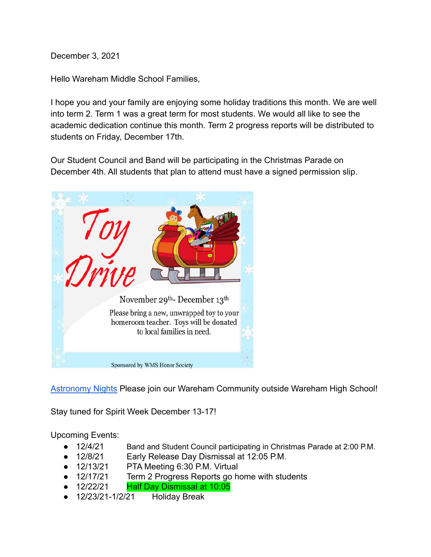December 3, 2021

Hello Wareham Middle School Families,

I hope you and your family are enjoying some holiday traditions this month. We are well into term 2. Term 1 was a great term for most students. We would all like to see the academic dedication continue this month. Term 2 progress reports will be distributed to students on Friday, December 17th.

Our Student Council and Band will be participating in the Christmas Parade on December 4th. All students that plan to attend must have a signed permission slip.



[Astronomy Nights](https://docs.google.com/presentation/d/1DmKcLPWkUKoFRo1ChaYmO-q8SZr-zYm_xXlw0VyL6lA/edit#slide=id.gf72013f103_0_0) Please join our Wareham Community outside Wareham High School!

Stay tuned for Spirit Week December 13-17!

Upcoming Events:

- 12/4/21 Band and Student Council participating in Christmas Parade at 2:00 P.M.
- 12/8/21 Early Release Day Dismissal at 12:05 P.M.
- 12/13/21 PTA Meeting 6:30 P.M. Virtual
- 12/17/21 Term 2 Progress Reports go home with students
- 12/22/21 Half Day Dismissal at 10:05
- 12/23/21-1/2/21 Holiday Break